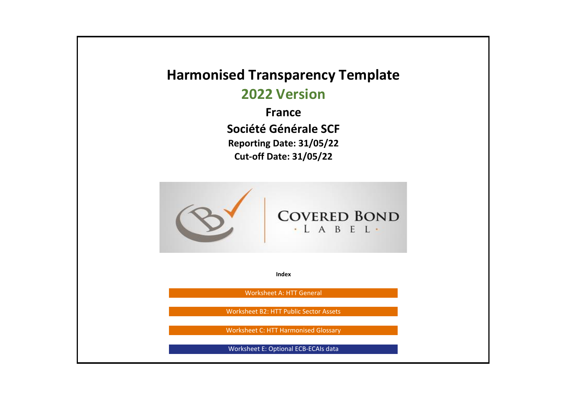## **Harmonised Transparency Template**

**2022 Version**

**France Société Générale SCF Reporting Date: 31/05/22 Cut-off Date: 31/05/22**



**Index**

Worksheet A: HTT General

Worksheet B2: HTT Public Sector Assets

Worksheet C: HTT Harmonised Glossary

Worksheet E: Optional ECB-ECAIs data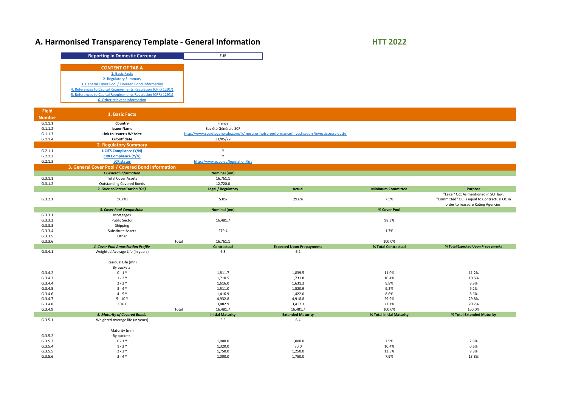# A. Harmonised Transparency Template - General Information **HTT 2022**

| <b>Reporting in Domestic Currency</b>                         | <b>EUR</b> |
|---------------------------------------------------------------|------------|
| <b>CONTENT OF TAB A</b>                                       |            |
| 1. Basic Facts                                                |            |
| 2. Regulatory Summary                                         |            |
| 3. General Cover Pool / Covered Bond Information              |            |
| 4. References to Capital Requirements Regulation (CRR) 129(7) |            |
| 5. References to Capital Requirements Regulation (CRR) 129(1) |            |
| 6. Other relevant information                                 |            |

| <b>Field</b>  | 1. Basic Facts                                                         |                                     |                                                                                               |                          |                                              |
|---------------|------------------------------------------------------------------------|-------------------------------------|-----------------------------------------------------------------------------------------------|--------------------------|----------------------------------------------|
| <b>Number</b> |                                                                        |                                     |                                                                                               |                          |                                              |
| G.1.1.1       | Country                                                                | France                              |                                                                                               |                          |                                              |
| G.1.1.2       | <b>Issuer Name</b>                                                     | Société Générale SCF                |                                                                                               |                          |                                              |
| G.1.1.3       | Link to Issuer's Website                                               |                                     | http://www.societegenerale.com/fr/mesurer-notre-performance/investisseurs/investisseurs-dette |                          |                                              |
| G.1.1.4       | <b>Cut-off date</b>                                                    | 31/05/22                            |                                                                                               |                          |                                              |
|               | <b>2. Regulatory Summary</b>                                           |                                     |                                                                                               |                          |                                              |
| G.2.1.1       | <b>UCITS Compliance (Y/N)</b>                                          | $\mathsf{v}$                        |                                                                                               |                          |                                              |
| G.2.1.2       | <b>CRR Compliance (Y/N)</b>                                            |                                     |                                                                                               |                          |                                              |
| G.2.1.3       | <b>LCR status</b>                                                      | http://www.ecbc.eu/legislation/list |                                                                                               |                          |                                              |
|               | 3. General Cover Pool / Covered Bond Information                       |                                     |                                                                                               |                          |                                              |
|               | <b>1.General Information</b>                                           | <b>Nominal (mn)</b>                 |                                                                                               |                          |                                              |
| G.3.1.1       | <b>Total Cover Assets</b>                                              | 16,761.1                            |                                                                                               |                          |                                              |
| G.3.1.2       | <b>Outstanding Covered Bonds</b>                                       | 12,720.0                            |                                                                                               |                          |                                              |
|               | 2. Over-collateralisation (OC)                                         | <b>Legal / Regulatory</b>           | <b>Actual</b>                                                                                 | <b>Minimum Committed</b> | <b>Purpose</b>                               |
|               |                                                                        |                                     |                                                                                               |                          | "Legal" OC: As mentioned in SCF law.         |
| G.3.2.1       | OC (%)                                                                 | 5.0%                                | 29.6%                                                                                         | 7.5%                     | "Committed" OC is equal to Contractual OC in |
|               |                                                                        |                                     |                                                                                               |                          | order to reassure Rating Agencies.           |
|               | <b>3. Cover Pool Composition</b>                                       | <b>Nominal (mn)</b>                 |                                                                                               | % Cover Pool             |                                              |
| G.3.3.1       | Mortgages                                                              |                                     |                                                                                               |                          |                                              |
| G.3.3.2       | <b>Public Sector</b>                                                   | 16,481.7                            |                                                                                               | 98.3%                    |                                              |
| G.3.3.3       | Shipping                                                               |                                     |                                                                                               |                          |                                              |
| G.3.3.4       | Substitute Assets                                                      | 279.4                               |                                                                                               | 1.7%                     |                                              |
| G.3.3.5       | Other                                                                  |                                     |                                                                                               |                          |                                              |
| G.3.3.6       |                                                                        | Total<br>16,761.1                   |                                                                                               | 100.0%                   |                                              |
|               | 4. Cover Pool Amortisation Profile<br>Weighted Average Life (in years) | Contractual                         | <b>Expected Upon Prepayments</b>                                                              | % Total Contractual      | % Total Expected Upon Prepayments            |
| G.3.4.1       |                                                                        | 6.3                                 | 6.2                                                                                           |                          |                                              |
|               | Residual Life (mn)                                                     |                                     |                                                                                               |                          |                                              |
|               | By buckets:                                                            |                                     |                                                                                               |                          |                                              |
| G.3.4.2       | $0 - 1Y$                                                               | 1,811.7                             | 1,839.5                                                                                       | 11.0%                    | 11.2%                                        |
| G.3.4.3       | $1 - 2Y$                                                               | 1,710.5                             | 1,731.8                                                                                       | 10.4%                    | 10.5%                                        |
| G.3.4.4       | $2 - 3Y$                                                               | 1,616.0                             | 1,631.3                                                                                       | 9.8%                     | 9.9%                                         |
| G.3.4.5       | $3 - 4Y$                                                               | 1,511.0                             | 1,520.9                                                                                       | 9.2%                     | 9.2%                                         |
| G.3.4.6       | $4 - 5Y$                                                               | 1,416.9                             | 1,422.0                                                                                       | 8.6%                     | 8.6%                                         |
| G.3.4.7       | $5 - 10Y$                                                              | 4,932.8                             | 4,918.8                                                                                       | 29.9%                    | 29.8%                                        |
| G.3.4.8       | $10+Y$                                                                 | 3,482.9                             | 3,417.3                                                                                       | 21.1%                    | 20.7%                                        |
| G.3.4.9       |                                                                        | Total<br>16,481.7                   | 16,481.7                                                                                      | 100.0%                   | 100.0%                                       |
|               | <b>5. Maturity of Covered Bonds</b>                                    | <b>Initial Maturity</b>             | <b>Extended Maturity</b>                                                                      | % Total Initial Maturity | % Total Extended Maturity                    |
| G.3.5.1       | Weighted Average life (in years)                                       | 5.5                                 | 6.4                                                                                           |                          |                                              |
|               |                                                                        |                                     |                                                                                               |                          |                                              |
|               | Maturity (mn)                                                          |                                     |                                                                                               |                          |                                              |
| G.3.5.2       | By buckets:                                                            |                                     |                                                                                               |                          |                                              |
| G.3.5.3       | $0 - 1Y$                                                               | 1,000.0                             | 1,000.0                                                                                       | 7.9%                     | 7.9%                                         |
| G.3.5.4       | $1 - 2Y$                                                               | 1,320.0                             | 70.0                                                                                          | 10.4%                    | 0.6%                                         |
| G.3.5.5       | $2 - 3Y$                                                               | 1,750.0                             | 1,250.0                                                                                       | 13.8%                    | 9.8%                                         |
| G.3.5.6       | $3 - 4Y$                                                               | 1,000.0                             | 1,750.0                                                                                       | 7.9%                     | 13.8%                                        |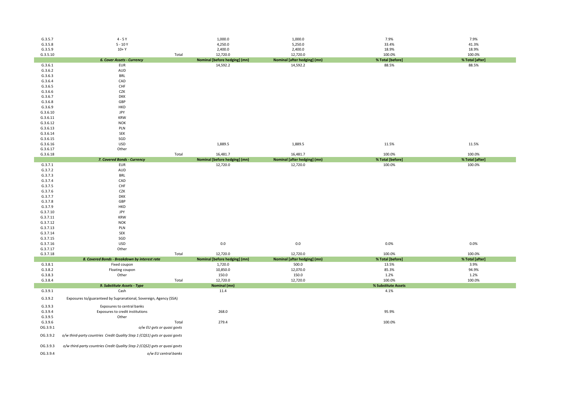| G.3.5.7             | $4 - 5Y$                                                                   |       | 1,000.0                                         | 1,000.0                                      | 7.9%                      | 7.9%                    |
|---------------------|----------------------------------------------------------------------------|-------|-------------------------------------------------|----------------------------------------------|---------------------------|-------------------------|
| G.3.5.8             | $5 - 10Y$                                                                  |       | 4,250.0                                         | 5,250.0                                      | 33.4%                     | 41.3%                   |
| G.3.5.9             | $10+Y$                                                                     |       | 2,400.0                                         | 2,400.0                                      | 18.9%                     | 18.9%                   |
| G.3.5.10            |                                                                            | Total | 12,720.0                                        | 12,720.0                                     | 100.0%                    | 100.0%                  |
|                     | <b>6. Cover Assets - Currency</b>                                          |       | <b>Nominal [before hedging] (mn)</b>            | <b>Nominal [after hedging] (mn)</b>          | % Total [before]          | % Total [after]         |
| G.3.6.1             | <b>EUR</b>                                                                 |       | 14,592.2                                        | 14,592.2                                     | 88.5%                     | 88.5%                   |
| G.3.6.2             | AUD                                                                        |       |                                                 |                                              |                           |                         |
| G.3.6.3             | <b>BRL</b><br>CAD                                                          |       |                                                 |                                              |                           |                         |
| G.3.6.4<br>G.3.6.5  | CHF                                                                        |       |                                                 |                                              |                           |                         |
| G.3.6.6             | CZK                                                                        |       |                                                 |                                              |                           |                         |
| G.3.6.7             | <b>DKK</b>                                                                 |       |                                                 |                                              |                           |                         |
| G.3.6.8             | GBP                                                                        |       |                                                 |                                              |                           |                         |
| G.3.6.9             | <b>HKD</b>                                                                 |       |                                                 |                                              |                           |                         |
| G.3.6.10            | JPY                                                                        |       |                                                 |                                              |                           |                         |
| G.3.6.11            | <b>KRW</b>                                                                 |       |                                                 |                                              |                           |                         |
| G.3.6.12            | <b>NOK</b>                                                                 |       |                                                 |                                              |                           |                         |
| G.3.6.13            | PLN                                                                        |       |                                                 |                                              |                           |                         |
| G.3.6.14            | SEK                                                                        |       |                                                 |                                              |                           |                         |
| G.3.6.15            | SGD                                                                        |       |                                                 |                                              |                           |                         |
| G.3.6.16            | USD                                                                        |       | 1,889.5                                         | 1,889.5                                      | 11.5%                     | 11.5%                   |
| G.3.6.17            | Other                                                                      |       |                                                 |                                              |                           |                         |
| G.3.6.18            |                                                                            | Total | 16,481.7                                        | 16,481.7                                     | 100.0%                    | 100.0%                  |
|                     | 7. Covered Bonds - Currency                                                |       | <b>Nominal [before hedging] (mn)</b>            | <b>Nominal [after hedging] (mn)</b>          | % Total [before]          | % Total [after]         |
| G.3.7.1             | <b>EUR</b>                                                                 |       | 12,720.0                                        | 12,720.0                                     | 100.0%                    | 100.0%                  |
| G.3.7.2<br>G.3.7.3  | AUD<br><b>BRL</b>                                                          |       |                                                 |                                              |                           |                         |
| G.3.7.4             | CAD                                                                        |       |                                                 |                                              |                           |                         |
| G.3.7.5             | <b>CHF</b>                                                                 |       |                                                 |                                              |                           |                         |
| G.3.7.6             | CZK                                                                        |       |                                                 |                                              |                           |                         |
| G.3.7.7             | <b>DKK</b>                                                                 |       |                                                 |                                              |                           |                         |
| G.3.7.8             | GBP                                                                        |       |                                                 |                                              |                           |                         |
| G.3.7.9             | <b>HKD</b>                                                                 |       |                                                 |                                              |                           |                         |
| G.3.7.10            | JPY                                                                        |       |                                                 |                                              |                           |                         |
| G.3.7.11            | <b>KRW</b>                                                                 |       |                                                 |                                              |                           |                         |
| G.3.7.12            | <b>NOK</b>                                                                 |       |                                                 |                                              |                           |                         |
| G.3.7.13            | PLN                                                                        |       |                                                 |                                              |                           |                         |
| G.3.7.14            | SEK                                                                        |       |                                                 |                                              |                           |                         |
| G.3.7.15            | SGD                                                                        |       |                                                 |                                              |                           |                         |
| G.3.7.16            | <b>USD</b>                                                                 |       | 0.0                                             | 0.0                                          | 0.0%                      | 0.0%                    |
| G.3.7.17            | Other                                                                      |       |                                                 |                                              |                           |                         |
| G.3.7.18            |                                                                            | Total | 12,720.0                                        | 12,720.0                                     | 100.0%                    | 100.0%                  |
| G.3.8.1             | 8. Covered Bonds - Breakdown by interest rate<br>Fixed coupon              |       | <b>Nominal [before hedging] (mn)</b><br>1,720.0 | <b>Nominal [after hedging] (mn)</b><br>500.0 | % Total [before]<br>13.5% | % Total [after]<br>3.9% |
| G.3.8.2             | Floating coupon                                                            |       | 10,850.0                                        | 12,070.0                                     | 85.3%                     | 94.9%                   |
| G.3.8.3             | Other                                                                      |       | 150.0                                           | 150.0                                        | 1.2%                      | 1.2%                    |
| G.3.8.4             |                                                                            | Total | 12,720.0                                        | 12,720.0                                     | 100.0%                    | 100.0%                  |
|                     | 9. Substitute Assets - Type                                                |       | <b>Nominal (mn)</b>                             |                                              | % Substitute Assets       |                         |
| G.3.9.1             | Cash                                                                       |       | 11.4                                            |                                              | 4.1%                      |                         |
| G.3.9.2             | Exposures to/guaranteed by Supranational, Sovereign, Agency (SSA)          |       |                                                 |                                              |                           |                         |
|                     |                                                                            |       |                                                 |                                              |                           |                         |
| G.3.9.3             | Exposures to central banks                                                 |       |                                                 |                                              |                           |                         |
| G.3.9.4             | Exposures to credit institutions                                           |       | 268.0                                           |                                              | 95.9%                     |                         |
| G.3.9.5             | Other                                                                      |       |                                                 |                                              |                           |                         |
| G.3.9.6<br>OG.3.9.1 | o/w EU gvts or quasi govts                                                 | Total | 279.4                                           |                                              | 100.0%                    |                         |
|                     |                                                                            |       |                                                 |                                              |                           |                         |
| OG.3.9.2            | o/w third-party countries Credit Quality Step 1 (CQS1) gvts or quasi govts |       |                                                 |                                              |                           |                         |
| OG.3.9.3            | o/w third-party countries Credit Quality Step 2 (CQS2) gvts or quasi govts |       |                                                 |                                              |                           |                         |
| OG.3.9.4            | o/w EU central banks                                                       |       |                                                 |                                              |                           |                         |

| 7.9%             | 7.9%            |
|------------------|-----------------|
| 33.4%            | 41.3%           |
| 18.9%            | 18.9%           |
| 100.0%           | 100.0%          |
| % Total [before] | % Total [after] |
| 88.5%            | 88.5%           |

| 11.5%            | 11.5%           |
|------------------|-----------------|
| 100.0%           | 100.0%          |
| % Total [before] | % Total [after] |
| 100 ዐ%           | 100 ዐ%          |

| 0.0% | 0.0% |
|------|------|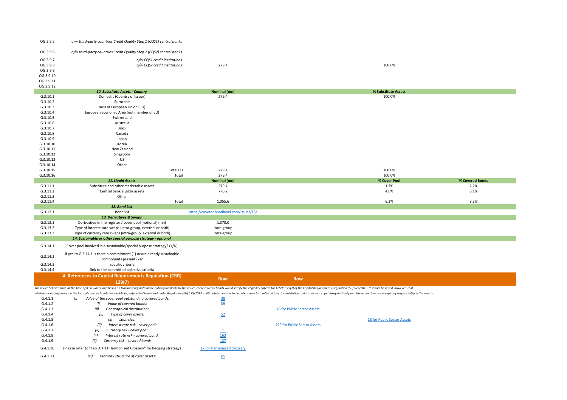| OG.3.9.5               | o/w third-party countries Credit Quality Step 1 (CQS1) central banks    |                                         |                                                                                                                                                                                                                                |                 |
|------------------------|-------------------------------------------------------------------------|-----------------------------------------|--------------------------------------------------------------------------------------------------------------------------------------------------------------------------------------------------------------------------------|-----------------|
| OG.3.9.6               | o/w third-party countries Credit Quality Step 2 (CQS2) central banks    |                                         |                                                                                                                                                                                                                                |                 |
| OG.3.9.7               | o/w CQS1 credit institutions                                            |                                         |                                                                                                                                                                                                                                |                 |
| OG.3.9.8               | o/w CQS2 credit institutions                                            | 279.4                                   | 100.0%                                                                                                                                                                                                                         |                 |
| OG.3.9.9               |                                                                         |                                         |                                                                                                                                                                                                                                |                 |
| OG.3.9.10              |                                                                         |                                         |                                                                                                                                                                                                                                |                 |
| OG.3.9.11              |                                                                         |                                         |                                                                                                                                                                                                                                |                 |
| OG.3.9.12              |                                                                         |                                         |                                                                                                                                                                                                                                |                 |
|                        | 10. Substitute Assets - Country                                         | <b>Nominal (mn)</b>                     | % Substitute Assets                                                                                                                                                                                                            |                 |
| G.3.10.1               | Domestic (Country of Issuer)                                            | 279.4                                   | 100.0%                                                                                                                                                                                                                         |                 |
| G.3.10.2               | Eurozone                                                                |                                         |                                                                                                                                                                                                                                |                 |
| G.3.10.3               | Rest of European Union (EU)                                             |                                         |                                                                                                                                                                                                                                |                 |
| G.3.10.4               | European Economic Area (not member of EU)                               |                                         |                                                                                                                                                                                                                                |                 |
| G.3.10.5               | Switzerland                                                             |                                         |                                                                                                                                                                                                                                |                 |
| G.3.10.6               | Australia                                                               |                                         |                                                                                                                                                                                                                                |                 |
| G.3.10.7               | Brazil                                                                  |                                         |                                                                                                                                                                                                                                |                 |
| G.3.10.8               | Canada                                                                  |                                         |                                                                                                                                                                                                                                |                 |
| G.3.10.9               |                                                                         |                                         |                                                                                                                                                                                                                                |                 |
|                        | Japan<br>Korea                                                          |                                         |                                                                                                                                                                                                                                |                 |
| G.3.10.10<br>G.3.10.11 | New Zealand                                                             |                                         |                                                                                                                                                                                                                                |                 |
|                        |                                                                         |                                         |                                                                                                                                                                                                                                |                 |
| G.3.10.12              | Singapore                                                               |                                         |                                                                                                                                                                                                                                |                 |
| G.3.10.13              | <b>US</b>                                                               |                                         |                                                                                                                                                                                                                                |                 |
| G.3.10.14              | Other                                                                   |                                         |                                                                                                                                                                                                                                |                 |
| G.3.10.15              | <b>Total EU</b>                                                         | 279.4                                   | 100.0%                                                                                                                                                                                                                         |                 |
| G.3.10.16              | Total                                                                   | 279.4                                   | 100.0%                                                                                                                                                                                                                         |                 |
|                        | 11. Liquid Assets<br>Substitute and other marketable assets             | <b>Nominal (mn)</b>                     | % Cover Pool                                                                                                                                                                                                                   | % Covered Bonds |
| G.3.11.1               |                                                                         | 279.4                                   | 1.7%                                                                                                                                                                                                                           | 2.2%            |
| G.3.11.2               | Central bank eligible assets<br>Other                                   | 776.2                                   | 4.6%                                                                                                                                                                                                                           | 6.1%            |
| G.3.11.3               |                                                                         |                                         |                                                                                                                                                                                                                                | 8.3%            |
| G.3.11.4               |                                                                         |                                         |                                                                                                                                                                                                                                |                 |
|                        | Total                                                                   | 1,055.6                                 | 6.3%                                                                                                                                                                                                                           |                 |
|                        | 12. Bond List                                                           |                                         |                                                                                                                                                                                                                                |                 |
| G.3.12.1               | <b>Bond list</b>                                                        | https://coveredbondlabel.com/issuer/15/ |                                                                                                                                                                                                                                |                 |
|                        | 13. Derivatives & Swaps                                                 |                                         |                                                                                                                                                                                                                                |                 |
| G.3.13.1               | Derivatives in the register / cover pool [notional] (mn)                | 1,370.0                                 |                                                                                                                                                                                                                                |                 |
| G.3.13.2               | Type of interest rate swaps (intra-group, external or both)             | Intra-group                             |                                                                                                                                                                                                                                |                 |
| G.3.13.3               | Type of currency rate swaps (intra-group, external or both)             | Intra-group                             |                                                                                                                                                                                                                                |                 |
|                        | 14. Sustainable or other special purpose strategy - optional            |                                         |                                                                                                                                                                                                                                |                 |
| G.3.14.1               | Cover pool involved in a sustainable/special purpose strategy? (Y/N)    |                                         |                                                                                                                                                                                                                                |                 |
|                        | If yes to G.3.14.1 is there a commitment (1) or are already sustainable |                                         |                                                                                                                                                                                                                                |                 |
| G.3.14.2               | components present (2)?                                                 |                                         |                                                                                                                                                                                                                                |                 |
| G.3.14.3               | specific criteria                                                       |                                         |                                                                                                                                                                                                                                |                 |
| G.3.14.4               | link to the committed objective criteria                                |                                         |                                                                                                                                                                                                                                |                 |
|                        |                                                                         |                                         |                                                                                                                                                                                                                                |                 |
|                        | 4. References to Capital Requirements Regulation (CRR)                  | <b>Row</b>                              | <b>Row</b>                                                                                                                                                                                                                     |                 |
|                        | 129(7)                                                                  |                                         |                                                                                                                                                                                                                                |                 |
|                        |                                                                         |                                         | The issuer believes that, at the time of its issuance and based on transparency data made publicly available by the issuer, these covered bonds would satisfy the eligibility criteria for Article 129(7) of the Capital Requi |                 |
|                        |                                                                         |                                         | whether or not exposures in the form of covered bonds are eligible to preferential treatment under Regulation (EU) 575/2013 is ultimately a matter to be determined by a relevant investor institution and its relevant superv |                 |
| G.4.1.1                | Value of the cover pool outstanding covered bonds:<br>(i)               | $\frac{38}{1}$                          |                                                                                                                                                                                                                                |                 |
| G.4.1.2                | Value of covered bonds:<br>(i)                                          | <u>39</u>                               |                                                                                                                                                                                                                                |                 |
| G.4.1.3                | Geographical distribution:<br>(ii)                                      |                                         | 48 for Public Sector Assets                                                                                                                                                                                                    |                 |
| G.4.1.4<br>G.4.1.5     | Type of cover assets:<br>(ii)<br>(ii)<br>Loan size:                     | 52                                      | 18 for Public Sector Assets                                                                                                                                                                                                    |                 |

G.4.1.9 *(ii)* Currency risk - covered bond: 137 G.4.1.10 (Please refer to "Tab D. HTT Harmonised Glossary" for hedging strategy) 17 for Harmonised Glossary G.4.1.11 *(iii) Maturity structure of cover assets:* 65

G.4.1.7 *(ii)* Currency risk - cover pool: <u>111</u><br>
G.4.1.8 *(ii)* Interest rate risk - covered bond: <u>163</u>

| G.4.1.5              | (ii)<br>Loan size:                                                                                                                          |                              | 18 for Public Sector Assets |
|----------------------|---------------------------------------------------------------------------------------------------------------------------------------------|------------------------------|-----------------------------|
| G.4.1.6              | Interest rate risk - cover pool:<br>(ii)                                                                                                    | 129 for Public Sector Assets |                             |
| $\sim$ $\sim$ $\sim$ | $\mathcal{L}^{(1)}$ and $\mathcal{L}^{(2)}$ and $\mathcal{L}^{(3)}$ and $\mathcal{L}^{(4)}$ and $\mathcal{L}^{(5)}$ and $\mathcal{L}^{(6)}$ |                              |                             |

G.4.1.8 *(ii) Interest rate risk - covered bond:* 163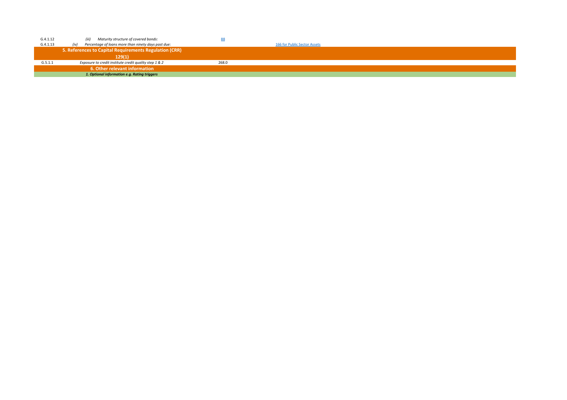| G.4.1.12 | Maturity structure of covered bonds:<br>(iii)               | 88    |                              |
|----------|-------------------------------------------------------------|-------|------------------------------|
| G.4.1.13 | Percentage of loans more than ninety days past due:<br>(iv) |       | 166 for Public Sector Assets |
|          | 5. References to Capital Requirements Regulation (CRR)      |       |                              |
|          | 129(1)                                                      |       |                              |
| G.5.1.1  | Exposure to credit institute credit quality step 1 & 2      | 268.0 |                              |
|          | 6. Other relevant information                               |       |                              |
|          | 1. Optional information e.g. Rating triggers                |       |                              |

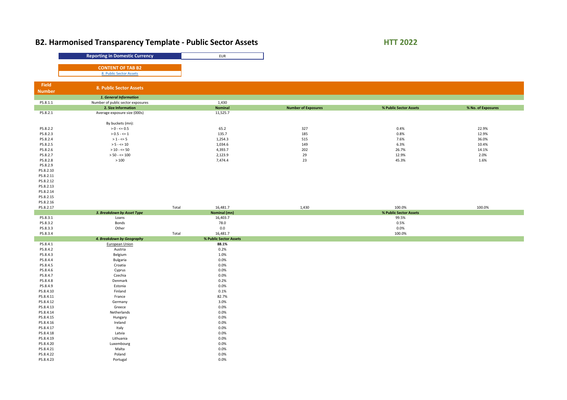# **B2. Harmonised Transparency Template - Public Sector Assets <b>HTT 2022**

|               | <b>Reporting in Domestic Currency</b>                       |       | <b>EUR</b>             |                            |                        |                    |
|---------------|-------------------------------------------------------------|-------|------------------------|----------------------------|------------------------|--------------------|
|               |                                                             |       |                        |                            |                        |                    |
|               | <b>CONTENT OF TAB B2</b>                                    |       |                        |                            |                        |                    |
|               | 8. Public Sector Assets                                     |       |                        |                            |                        |                    |
|               |                                                             |       |                        |                            |                        |                    |
| Field         |                                                             |       |                        |                            |                        |                    |
| <b>Number</b> | 8. Public Sector Assets                                     |       |                        |                            |                        |                    |
|               |                                                             |       |                        |                            |                        |                    |
| PS.8.1.1      | 1. General Information<br>Number of public sector exposures |       | 1,430                  |                            |                        |                    |
|               | 2. Size Information                                         |       | <b>Nominal</b>         | <b>Number of Exposures</b> | % Public Sector Assets | % No. of Exposures |
| PS.8.2.1      | Average exposure size (000s)                                |       | 11,525.7               |                            |                        |                    |
|               |                                                             |       |                        |                            |                        |                    |
|               | By buckets (mn):                                            |       |                        |                            |                        |                    |
| PS.8.2.2      | $> 0 - \le 0.5$                                             |       | 65.2                   | 327                        | 0.4%                   | 22.9%              |
| PS.8.2.3      | $> 0.5 - \leq 1$                                            |       | 135.7                  | 185                        | 0.8%                   | 12.9%              |
| PS.8.2.4      | $> 1 - \leq 5$                                              |       | 1,254.3                | 515                        | 7.6%                   | 36.0%              |
| PS.8.2.5      | $> 5 - \le 10$                                              |       | 1,034.6                | 149                        | 6.3%                   | 10.4%              |
| PS.8.2.6      | $> 10 - \le 50$                                             |       | 4,393.7                | 202                        | 26.7%                  | 14.1%              |
| PS.8.2.7      | $> 50 - \le 100$                                            |       | 2,123.9                | 29                         | 12.9%                  | 2.0%               |
| PS.8.2.8      | $>100$                                                      |       | 7,474.4                | 23                         | 45.3%                  | 1.6%               |
| PS.8.2.9      |                                                             |       |                        |                            |                        |                    |
| PS.8.2.10     |                                                             |       |                        |                            |                        |                    |
| PS.8.2.11     |                                                             |       |                        |                            |                        |                    |
| PS.8.2.12     |                                                             |       |                        |                            |                        |                    |
| PS.8.2.13     |                                                             |       |                        |                            |                        |                    |
| PS.8.2.14     |                                                             |       |                        |                            |                        |                    |
| PS.8.2.15     |                                                             |       |                        |                            |                        |                    |
| PS.8.2.16     |                                                             |       |                        |                            |                        |                    |
| PS.8.2.17     |                                                             | Total | 16,481.7               | 1,430                      | 100.0%                 | 100.0%             |
|               | 3. Breakdown by Asset Type                                  |       | <b>Nominal (mn)</b>    |                            | % Public Sector Assets |                    |
| PS.8.3.1      | Loans                                                       |       | 16,403.7               |                            | 99.5%                  |                    |
| PS.8.3.2      | Bonds                                                       |       | 78.0                   |                            | 0.5%                   |                    |
| PS.8.3.3      | Other                                                       |       | 0.0                    |                            | $0.0\%$                |                    |
| PS.8.3.4      |                                                             | Total | 16,481.7               |                            | 100.0%                 |                    |
| PS.8.4.1      | 4. Breakdown by Geography                                   |       | % Public Sector Assets |                            |                        |                    |
| PS.8.4.2      | <b>European Union</b><br>Austria                            |       | 88.1%<br>0.2%          |                            |                        |                    |
| PS.8.4.3      | Belgium                                                     |       | 1.0%                   |                            |                        |                    |
| PS.8.4.4      | <b>Bulgaria</b>                                             |       | $0.0\%$                |                            |                        |                    |
| PS.8.4.5      | Croatia                                                     |       | 0.0%                   |                            |                        |                    |
| PS.8.4.6      | Cyprus                                                      |       | $0.0\%$                |                            |                        |                    |
| PS.8.4.7      | Czechia                                                     |       | $0.0\%$                |                            |                        |                    |
| PS.8.4.8      | Denmark                                                     |       | 0.2%                   |                            |                        |                    |
| PS.8.4.9      | Estonia                                                     |       | $0.0\%$                |                            |                        |                    |
| PS.8.4.10     | Finland                                                     |       | 0.1%                   |                            |                        |                    |
| PS.8.4.11     | France                                                      |       | 82.7%                  |                            |                        |                    |
| PS.8.4.12     | Germany                                                     |       | 3.0%                   |                            |                        |                    |
| PS.8.4.13     | Greece                                                      |       | $0.0\%$                |                            |                        |                    |
| PS.8.4.14     | Netherlands                                                 |       | $0.0\%$                |                            |                        |                    |
| PS.8.4.15     | Hungary                                                     |       | 0.0%                   |                            |                        |                    |
| PS.8.4.16     | Ireland                                                     |       | 0.0%                   |                            |                        |                    |
| PS.8.4.17     | Italy                                                       |       | $0.0\%$                |                            |                        |                    |
| PS.8.4.18     | Latvia                                                      |       | $0.0\%$                |                            |                        |                    |
| PS.8.4.19     | Lithuania                                                   |       | $0.0\%$                |                            |                        |                    |
| PS.8.4.20     | Luxembourg                                                  |       | $0.0\%$                |                            |                        |                    |
| PS.8.4.21     | Malta                                                       |       | 0.0%                   |                            |                        |                    |
| PS.8.4.22     | Poland                                                      |       | $0.0\%$                |                            |                        |                    |
| PS.8.4.23     | Portugal                                                    |       | $0.0\%$                |                            |                        |                    |
|               |                                                             |       |                        |                            |                        |                    |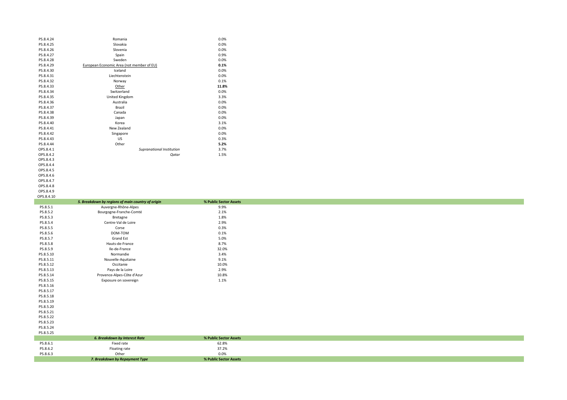| PS.8.4.24  | Romania                                           | 0.0%                              |
|------------|---------------------------------------------------|-----------------------------------|
| PS.8.4.25  | Slovakia                                          | 0.0%                              |
| PS.8.4.26  | Slovenia                                          | $0.0\%$                           |
| PS.8.4.27  | Spain                                             | 0.9%                              |
| PS.8.4.28  | Sweden                                            | $0.0\%$                           |
| PS.8.4.29  | European Economic Area (not member of EU)         | 0.1%                              |
| PS.8.4.30  | Iceland                                           | 0.0%                              |
| PS.8.4.31  | Liechtenstein                                     | $0.0\%$                           |
| PS.8.4.32  | Norway                                            | 0.1%                              |
| PS.8.4.33  | <u>Other</u>                                      | 11.8%                             |
| PS.8.4.34  | Switzerland                                       | $0.0\%$                           |
| PS.8.4.35  | United Kingdom                                    | 3.3%                              |
| PS.8.4.36  | Australia                                         | $0.0\%$                           |
| PS.8.4.37  | Brazil                                            | $0.0\%$                           |
|            |                                                   |                                   |
| PS.8.4.38  | Canada                                            | $0.0\%$                           |
| PS.8.4.39  | Japan                                             | 0.0%                              |
| PS.8.4.40  | Korea                                             | 3.1%                              |
| PS.8.4.41  | New Zealand                                       | 0.0%                              |
| PS.8.4.42  | Singapore                                         | $0.0\%$                           |
| PS.8.4.43  | US                                                | 0.3%                              |
| PS.8.4.44  | Other                                             | 5.2%                              |
| OPS.8.4.1  | Supranational Institution                         | 3.7%                              |
| OPS.8.4.2  | Qatar                                             | 1.5%                              |
| OPS.8.4.3  |                                                   |                                   |
| OPS.8.4.4  |                                                   |                                   |
| OPS.8.4.5  |                                                   |                                   |
| OPS.8.4.6  |                                                   |                                   |
| OPS.8.4.7  |                                                   |                                   |
| OPS.8.4.8  |                                                   |                                   |
| OPS.8.4.9  |                                                   |                                   |
| OPS.8.4.10 |                                                   |                                   |
|            |                                                   |                                   |
|            | 5. Breakdown by regions of main country of origin | % Public Sector Assets            |
| PS.8.5.1   | Auvergne-Rhône-Alpes                              | 9.9%                              |
|            |                                                   |                                   |
| PS.8.5.2   | Bourgogne-Franche-Comté                           | 2.1%                              |
| PS.8.5.3   | Bretagne                                          | 1.8%                              |
| PS.8.5.4   | Centre-Val de Loire                               | 2.9%                              |
| PS.8.5.5   | Corse                                             | 0.3%                              |
| PS.8.5.6   | DOM-TOM                                           | 0.1%                              |
| PS.8.5.7   | <b>Grand Est</b>                                  | 5.0%                              |
| PS.8.5.8   | Hauts-de-France                                   | 8.7%                              |
| PS.8.5.9   | Ile-de-France                                     | 32.0%                             |
| PS.8.5.10  | Normandie                                         | 3.4%                              |
| PS.8.5.11  | Nouvelle-Aquitaine                                | 9.1%                              |
| PS.8.5.12  | Occitanie                                         | 10.0%                             |
| PS.8.5.13  | Pays de la Loire                                  | 2.9%                              |
| PS.8.5.14  | Provence-Alpes-Côte d'Azur                        | 10.8%                             |
| PS.8.5.15  | Exposure on sovereign                             | 1.1%                              |
| PS.8.5.16  |                                                   |                                   |
| PS.8.5.17  |                                                   |                                   |
|            |                                                   |                                   |
| PS.8.5.18  |                                                   |                                   |
| PS.8.5.19  |                                                   |                                   |
| PS.8.5.20  |                                                   |                                   |
| PS.8.5.21  |                                                   |                                   |
| PS.8.5.22  |                                                   |                                   |
| PS.8.5.23  |                                                   |                                   |
| PS.8.5.24  |                                                   |                                   |
| PS.8.5.25  |                                                   |                                   |
|            | <b>6. Breakdown by Interest Rate</b>              | % Public Sector Assets            |
| PS.8.6.1   | Fixed rate                                        | 62.8%                             |
| PS.8.6.2   | Floating rate                                     | 37.2%                             |
| PS.8.6.3   | Other<br>7. Breakdown by Repayment Type           | $0.0\%$<br>% Public Sector Assets |

a de la construcción de la construcción de la construcción de la construcción de la construcción de la construc ,我们也不会有什么。"<br>第12章 我们的人们的人们,我们的人们的人们,我们的人们的人们都不会有什么。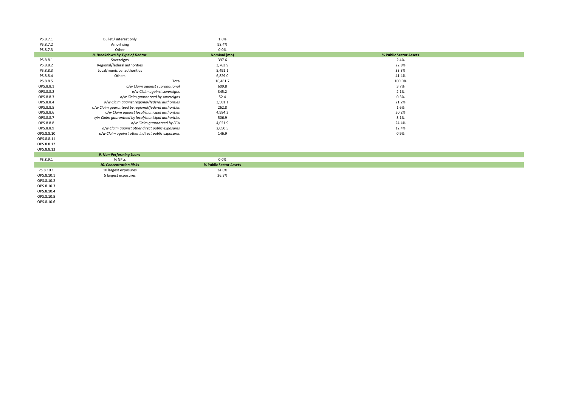| PS.8.7.1   | Bullet / interest only                               | 1.6%                   |                        |
|------------|------------------------------------------------------|------------------------|------------------------|
| PS.8.7.2   | Amortising                                           | 98.4%                  |                        |
| PS.8.7.3   | Other                                                | 0.0%                   |                        |
|            | 8. Breakdown by Type of Debtor                       | <b>Nominal (mn)</b>    | % Public Sector Assets |
| PS.8.8.1   | Sovereigns                                           | 397.6                  | 2.4%                   |
| PS.8.8.2   | Regional/federal authorities                         | 3,763.9                | 22.8%                  |
| PS.8.8.3   | Local/municipal authorities                          | 5,491.1                | 33.3%                  |
| PS.8.8.4   | Others                                               | 6,829.0                | 41.4%                  |
| PS.8.8.5   | Total                                                | 16,481.7               | 100.0%                 |
| OPS.8.8.1  | o/w Claim against supranational                      | 609.8                  | 3.7%                   |
| OPS.8.8.2  | o/w Claim against sovereigns                         | 345.2                  | 2.1%                   |
| OPS.8.8.3  | o/w Claim guaranteed by sovereigns                   | 52.4                   | 0.3%                   |
| OPS.8.8.4  | o/w Claim against regional/federal authorities       | 3,501.1                | 21.2%                  |
| OPS.8.8.5  | o/w Claim guaranteed by regional/federal authorities | 262.8                  | 1.6%                   |
| OPS.8.8.6  | o/w Claim against local/municipal authorities        | 4,984.3                | 30.2%                  |
| OPS.8.8.7  | o/w Claim guaranteed by local/municipal authorities  | 506.9                  | 3.1%                   |
| OPS.8.8.8  | o/w Claim guaranteed by ECA                          | 4,021.9                | 24.4%                  |
| OPS.8.8.9  | o/w Claim against other direct public exposures      | 2,050.5                | 12.4%                  |
| OPS.8.8.10 | o/w Claim against other indirect public exposures    | 146.9                  | 0.9%                   |
| OPS.8.8.11 |                                                      |                        |                        |
| OPS.8.8.12 |                                                      |                        |                        |
| OPS.8.8.13 |                                                      |                        |                        |
|            | 9. Non-Performing Loans                              |                        |                        |
| PS.8.9.1   | % NPLs                                               | 0.0%                   |                        |
|            | <b>10. Concentration Risks</b>                       | % Public Sector Assets |                        |
| PS.8.10.1  | 10 largest exposures                                 | 34.8%                  |                        |
| OPS.8.10.1 | 5 largest exposures                                  | 26.3%                  |                        |
| OPS.8.10.2 |                                                      |                        |                        |
| OPS.8.10.3 |                                                      |                        |                        |

OPS.8.10.4 OPS.8.10.5

OPS.8.10.6

| % Public Sector Assets |  |
|------------------------|--|
| 2.4%                   |  |
| 22.8%                  |  |
| 33.3%                  |  |
| 41.4%                  |  |
| 100.0%                 |  |
| 3.7%                   |  |
| 2.1%                   |  |
| 0.3%                   |  |
| 21.2%                  |  |
| 1.6%                   |  |
| 30.2%                  |  |
| 3.1%                   |  |
| 24.4%                  |  |
| 12.4%                  |  |
| 0.9%                   |  |
|                        |  |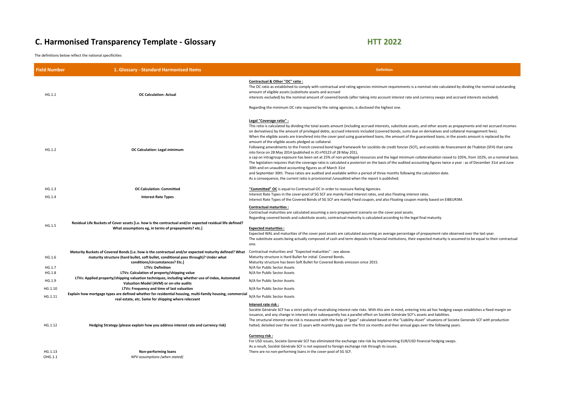## **C. Harmonised Transparency Template - Glossary <b>HTT 2022**

The definitions below reflect the national specificities

| <b>Field Number</b> | 1. Glossary - Standard Harmonised Items                                                                                                                                                                                         | <b>Definition</b>                                                                                                                                                                                                                                                                                                                                                                                                                                                                                                                                                                                                                                                                                                                                                                                                                                                                                                                                                                     |
|---------------------|---------------------------------------------------------------------------------------------------------------------------------------------------------------------------------------------------------------------------------|---------------------------------------------------------------------------------------------------------------------------------------------------------------------------------------------------------------------------------------------------------------------------------------------------------------------------------------------------------------------------------------------------------------------------------------------------------------------------------------------------------------------------------------------------------------------------------------------------------------------------------------------------------------------------------------------------------------------------------------------------------------------------------------------------------------------------------------------------------------------------------------------------------------------------------------------------------------------------------------|
| HG.1.1              | <b>OC Calculation: Actual</b>                                                                                                                                                                                                   | Contractual & Other "OC" ratio:<br>The OC ratio as established to comply with contractual and rating agencies minimum red<br>amount of eligible assets (substitute assets and accrued<br>interests excluded) by the nominal amount of covered bonds (after taking into account i<br>Regarding the minimum OC rate required by the rating agencies, is disclosed the highest                                                                                                                                                                                                                                                                                                                                                                                                                                                                                                                                                                                                           |
| HG.1.2              | <b>OC Calculation: Legal minimum</b>                                                                                                                                                                                            | Legal "Coverage ratio" :<br>This ratio is calculated by dividing the total assets amount (including accrued interests, s<br>on derivatives) by the amount of privileged debts, accrued interests included (covered b<br>When the eligible assets are transfered into the cover pool using guaranteed loans, the a<br>amount of the eligible assets pledged as collateral.<br>Following amendments to the French covered bond legal framework for sociétés de creo<br>into force on 28 May 2014 (published in JO nº0123 of 28 May 201),<br>a cap on intragroup exposure has been set at 25% of non-privileged resources and the le<br>The legislation requires that the coverage ratio is calculated a posteriori on the basis of t<br>30th and on unaudited accounting figures as of March 31st<br>and September 30th. These ratios are audited and available within a period of three mo<br>As a consequence, the current ratio is provisionnal /unaudited when the report is publis |
| HG.1.3              | <b>OC Calculation: Committed</b>                                                                                                                                                                                                | "Committed" OC is equal to Contractual OC in order to reassure Rating Agencies.                                                                                                                                                                                                                                                                                                                                                                                                                                                                                                                                                                                                                                                                                                                                                                                                                                                                                                       |
| HG.1.4              | <b>Interest Rate Types</b>                                                                                                                                                                                                      | Interest Rate Types in the cover-pool of SG SCF are mainly Fixed interest rates, and also<br>Interest Rate Types of the Covered Bonds of SG SCF are mainly Fixed coupon, and also F                                                                                                                                                                                                                                                                                                                                                                                                                                                                                                                                                                                                                                                                                                                                                                                                   |
| HG.1.5              | Residual Life Buckets of Cover assets [i.e. how is the contractual and/or expected residual life defined?<br>What assumptions eg, in terms of prepayments? etc.]                                                                | <b>Contractual maturities:</b><br>Contractual maturities are calculated assuming a zero prepayment scenario on the cove<br>Regarding covered bonds and substitute assets, contractual maturity is calculated accord<br><b>Expected maturities:</b><br>Expected WAL and maturities of the cover pool assets are calculated assuming an avera<br>The substitute assets being actually composed of cash and term deposits to financial ins<br>one.                                                                                                                                                                                                                                                                                                                                                                                                                                                                                                                                       |
| HG.1.6              | Maturity Buckets of Covered Bonds [i.e. how is the contractual and/or expected maturity defined? What<br>maturity structure (hard bullet, soft bullet, conditional pass through)? Under what<br>conditions/circumstances? Etc.] | Contractual maturities and "Expected maturities" : see above.<br>Maturity structure is Hard Bullet for initial Covered Bonds.<br>Maturity structure has been Soft Bullet for Covered Bonds emission since 2015.                                                                                                                                                                                                                                                                                                                                                                                                                                                                                                                                                                                                                                                                                                                                                                       |
| HG.1.7              | <b>LTVs: Definition</b>                                                                                                                                                                                                         | N/A for Public Sector Assets                                                                                                                                                                                                                                                                                                                                                                                                                                                                                                                                                                                                                                                                                                                                                                                                                                                                                                                                                          |
| HG.1.8              | LTVs: Calculation of property/shipping value                                                                                                                                                                                    | N/A for Public Sector Assets                                                                                                                                                                                                                                                                                                                                                                                                                                                                                                                                                                                                                                                                                                                                                                                                                                                                                                                                                          |
| HG.1.9              | LTVs: Applied property/shipping valuation techniques, including whether use of index, Automated<br>Valuation Model (AVM) or on-site audits                                                                                      | N/A for Public Sector Assets                                                                                                                                                                                                                                                                                                                                                                                                                                                                                                                                                                                                                                                                                                                                                                                                                                                                                                                                                          |
| HG.1.10             | LTVs: Frequency and time of last valuation                                                                                                                                                                                      | N/A for Public Sector Assets                                                                                                                                                                                                                                                                                                                                                                                                                                                                                                                                                                                                                                                                                                                                                                                                                                                                                                                                                          |
| HG.1.11             | Explain how mortgage types are defined whether for residential housing, multi-family housing, commercial<br>real estate, etc. Same for shipping where relecvant                                                                 | N/A for Public Sector Assets                                                                                                                                                                                                                                                                                                                                                                                                                                                                                                                                                                                                                                                                                                                                                                                                                                                                                                                                                          |
| HG.1.12             | Hedging Strategy (please explain how you address interest rate and currency risk)                                                                                                                                               | Interest rate risk :<br>Société Générale SCF has a strict policy of neutralising interest rate risks. With this aim in<br>issuance, and any change in interest rates subsequently has a parallel effect on Société (<br>The structural interest rate risk is measured with the help of "gaps" calculated based on<br>halted, detailed over the next 15 years with monthly gaps over the first six months and t                                                                                                                                                                                                                                                                                                                                                                                                                                                                                                                                                                        |
| HG.1.13<br>OHG.1.1  | <b>Non-performing loans</b><br>NPV assumptions (when stated)                                                                                                                                                                    | <b>Currency risk:</b><br>For USD issues, Societe Generale SCF has eliminated the exchange rate risk by implemer<br>As a result, Société Générale SCF is not exposed to foreign exchange risk through its issu<br>There are no non-performing loans in the cover-pool of SG SCF.                                                                                                                                                                                                                                                                                                                                                                                                                                                                                                                                                                                                                                                                                                       |

ual and rating agencies minimum requirements is a nominal rate calculated by dividing the nominal outstanding

ed bonds (after taking into account interest rate and currency swaps and accrued interests excluded).

ing agencies, is disclosed the highest one.

nount (including accrued interests, substitute assets, and other assets as prepayments and net accrued incomes ccrued interests included (covered bonds, sums due on derivatives and collateral management fees). er pool using guaranteed loans, the amount of the guaranteed loans, in the assets amount is replaced by the

legal framework for sociétés de credit foncier (SCF), and sociétés de financement de l'habitat (SFH) that came of 28 May 201),

f non-privileged resources and the legal minimum collateralisation raised to 105%, from 102%, on a nominal basis. Iculated a posteriori on the basis of the audited accounting figures twice a year : as of December 31st and June ch 31st

vailable within a period of three months following the calculation date.

'unaudited when the report is published.

mainly Fixed interest rates, and also Floating interest rates.

are mainly Fixed coupon, and also Floating coupon mainly based on EIBEUR3M.

ro prepayment scenario on the cover pool assets.

tractual maturity is calculated according to the legal final maturity.

ets are calculated assuming an average percentage of prepayment rate observed over the last year. sh and term deposits to financial institutions, their expected maturity is assumed to be equal to their contractual

ng interest rate risks. With this aim in mind, entering into ad hoc hedging swaps establishes a fixed margin on ntly has a parallel effect on Société Générale SCF's assets and liabilities.

Inelp of "gaps" calculated based on the "Liability-Asset" situations of Societe Generale SCF with production gaps over the first six months and then annual gaps over the following years.

the exchange rate risk by implementing EUR/USD financial hedging swaps. oreign exchange risk through its issues.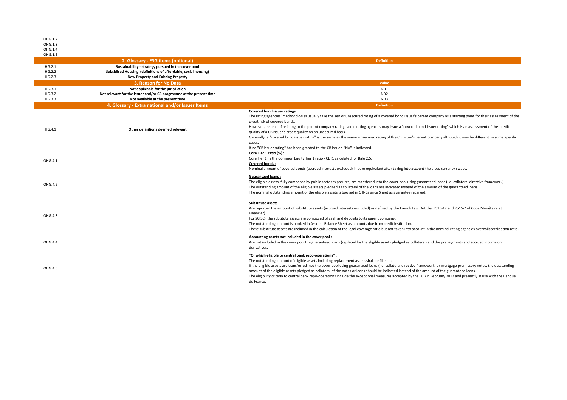| OHG.1.2          |                                                                                                             |                                                                                                                                                                                                                                                                                                                                                                                                                                                                                                                                                                                                                                                                 |
|------------------|-------------------------------------------------------------------------------------------------------------|-----------------------------------------------------------------------------------------------------------------------------------------------------------------------------------------------------------------------------------------------------------------------------------------------------------------------------------------------------------------------------------------------------------------------------------------------------------------------------------------------------------------------------------------------------------------------------------------------------------------------------------------------------------------|
| OHG.1.3          |                                                                                                             |                                                                                                                                                                                                                                                                                                                                                                                                                                                                                                                                                                                                                                                                 |
| OHG.1.4          |                                                                                                             |                                                                                                                                                                                                                                                                                                                                                                                                                                                                                                                                                                                                                                                                 |
| OHG.1.5          |                                                                                                             |                                                                                                                                                                                                                                                                                                                                                                                                                                                                                                                                                                                                                                                                 |
|                  | 2. Glossary - ESG items (optional)                                                                          | <b>Definition</b>                                                                                                                                                                                                                                                                                                                                                                                                                                                                                                                                                                                                                                               |
| HG.2.1           | Sustainability - strategy pursued in the cover pool                                                         |                                                                                                                                                                                                                                                                                                                                                                                                                                                                                                                                                                                                                                                                 |
| HG.2.2<br>HG.2.3 | Subsidised Housing (definitions of affordable, social housing)<br><b>New Property and Existing Property</b> |                                                                                                                                                                                                                                                                                                                                                                                                                                                                                                                                                                                                                                                                 |
|                  | 3. Reason for No Data                                                                                       | <b>Value</b>                                                                                                                                                                                                                                                                                                                                                                                                                                                                                                                                                                                                                                                    |
| HG.3.1           | Not applicable for the jurisdiction                                                                         | ND1                                                                                                                                                                                                                                                                                                                                                                                                                                                                                                                                                                                                                                                             |
| HG.3.2           | Not relevant for the issuer and/or CB programme at the present time                                         | ND <sub>2</sub>                                                                                                                                                                                                                                                                                                                                                                                                                                                                                                                                                                                                                                                 |
| HG.3.3           | Not available at the present time                                                                           | ND3                                                                                                                                                                                                                                                                                                                                                                                                                                                                                                                                                                                                                                                             |
|                  | 4. Glossary - Extra national and/or Issuer Items                                                            | <b>Definition</b>                                                                                                                                                                                                                                                                                                                                                                                                                                                                                                                                                                                                                                               |
| HG.4.1           | Other definitions deemed relevant                                                                           | <b>Covered bond issuer ratings:</b><br>The rating agencies' methodologies usually take the senior unsecured rating of a covered bond issuer's parent company as a starting point for their assessment of the<br>credit risk of covered bonds.<br>However, instead of refering to the parent company rating, some rating agencies may issue a "covered bond issuer rating" which is an assessment of the credit<br>quality of a CB issuer's credit quality on an unsecured basis.<br>Generally, a "covered bond issuer rating" is the same as the senior unsecured rating of the CB issuer's parent company although it may be different in some specific        |
| OHG.4.1          |                                                                                                             | cases.<br>If no "CB issuer rating" has been granted to the CB issuer, "NA" is indicated.<br>Core Tier 1 ratio (%) :<br>Core Tier 1 is the Common Equity Tier 1 ratio - CET1 calculated for Bale 2.5.<br><b>Covered bonds:</b><br>Nominal amount of covered bonds (accrued interests excluded) in euro equivalent after taking into account the cross currency swaps.                                                                                                                                                                                                                                                                                            |
| OHG.4.2          |                                                                                                             | <b>Guaranteed loans:</b><br>The eligible assets, fully composed by public sector exposures, are transfered into the cover pool using guaranteed loans (i.e. collateral directive framework).<br>The outstanding amount of the eligible assets pledged as collateral of the loans are indicated instead of the amount of the guaranteed loans.<br>The nominal outstanding amount of the eligible assets is booked in Off-Balance Sheet as guarantee received.                                                                                                                                                                                                    |
| OHG.4.3          |                                                                                                             | Substitute assets :<br>Are reported the amount of substitute assets (accrued interests excluded) as defined by the French Law (Articles L515-17 and R515-7 of Code Monétaire et<br>Financier).<br>For SG SCF the subtitute assets are composed of cash and deposits to its parent company.<br>The outstanding amount is booked in Assets - Balance Sheet as amounts due from credit institution.<br>These substitute assets are included in the calculation of the legal coverage ratio but not taken into account in the nominal rating agencies overcollateralisation ratio.                                                                                  |
| OHG.4.4          |                                                                                                             | Accounting assets not included in the cover pool :<br>Are not included in the cover pool the guaranteed loans (replaced by the eligible assets pledged as collateral) and the prepayments and accrued income on<br>derivatives.                                                                                                                                                                                                                                                                                                                                                                                                                                 |
| OHG.4.5          |                                                                                                             | "Of which eligible to central bank repo-operations"<br>The outstanding amount of eligible assets including replacement assets shall be filled in.<br>If the eligible assets are transferred into the cover pool using guaranteed loans (i.e. collateral directive framework) or mortgage promissory notes, the outstanding<br>amount of the eligible assets pledged as collateral of the notes or loans should be indicated instead of the amount of the guaranteed loans.<br>The eligibility criteria to central bank repo-operations include the exceptional measures accepted by the ECB in February 2012 and presently in use with the Banque<br>de France. |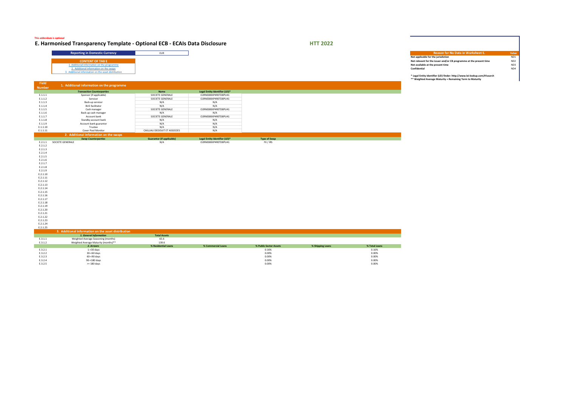2. Additional information on the swaps 3. Additional information on the asset distribution

| Insparency Template - Optional ECB - ECAIs Data Disclosure |  | <b>HTT 2022</b> |                                                                            |                 |
|------------------------------------------------------------|--|-----------------|----------------------------------------------------------------------------|-----------------|
| ting in Domestic Currency                                  |  |                 | Reason for No Data in Worksheet E.                                         | <b>Value</b>    |
|                                                            |  |                 | Not applicable for the jurisdiction                                        | ND1             |
| <b>CONTENT OF TAB E</b>                                    |  |                 | Not relevant for the issuer and/or CB programme at the present time        | ND <sub>2</sub> |
| nal information on the programme                           |  |                 | Not available at the present time                                          | ND3             |
| tional information on the swaps                            |  |                 | <b>Confidential</b>                                                        | ND4             |
| Information on the asset distribution                      |  |                 | * Legal Entity Identifier (LEI) finder: http://www.lei-lookup.com/#!search |                 |

**\*\* Weighted Average Maturity = Remaining Term to Maturity**



| Field         |                                                     |                                  |                                |                        |                  |               |
|---------------|-----------------------------------------------------|----------------------------------|--------------------------------|------------------------|------------------|---------------|
| <b>Number</b> | 1. Additional information on the programme          |                                  |                                |                        |                  |               |
|               | <b>Transaction Counterparties</b>                   | <b>Name</b>                      | Legal Entity Identifier (LEI)* |                        |                  |               |
| E.1.1.1       | Sponsor (if applicable)                             | SOCIETE GENERALE                 | O2RNE8IBXP4R0TD8PU41           |                        |                  |               |
| E.1.1.2       | Servicer                                            | SOCIETE GENERALE                 | O2RNE8IBXP4R0TD8PU41           |                        |                  |               |
| E.1.1.3       | Back-up servicer                                    | N/A                              | N/A                            |                        |                  |               |
| E.1.1.4       | <b>BUS facilitator</b>                              | N/A                              | N/A                            |                        |                  |               |
| E.1.1.5       | Cash manager                                        | SOCIETE GENERALE                 | O2RNE8IBXP4R0TD8PU41           |                        |                  |               |
| E.1.1.6       | Back-up cash manager                                | N/A                              | N/A                            |                        |                  |               |
| E.1.1.7       | Account bank                                        | SOCIETE GENERALE                 | O2RNE8IBXP4R0TD8PU41           |                        |                  |               |
| E.1.1.8       | Standby account bank                                | N/A                              | N/A                            |                        |                  |               |
| E.1.1.9       | Account bank guarantor                              | N/A                              | N/A                            |                        |                  |               |
| E.1.1.10      | Trustee                                             | N/A                              | N/A                            |                        |                  |               |
| E.1.1.11      | Cover Pool Monitor                                  | CAILLIAU DEDOUIT ET ASSOCIES     | N/A                            |                        |                  |               |
|               |                                                     |                                  |                                |                        |                  |               |
|               | 2. Additional information on the swaps              |                                  |                                |                        |                  |               |
|               | <b>Swap Counterparties</b>                          | <b>Guarantor (if applicable)</b> | Legal Entity Identifier (LEI)* | <b>Type of Swap</b>    |                  |               |
| E.2.1.1       | SOCIETE GENERALE                                    | N/A                              | O2RNE8IBXP4R0TD8PU41           | FX / IRS               |                  |               |
| E.2.1.2       |                                                     |                                  |                                |                        |                  |               |
| E.2.1.3       |                                                     |                                  |                                |                        |                  |               |
| E.2.1.4       |                                                     |                                  |                                |                        |                  |               |
| E.2.1.5       |                                                     |                                  |                                |                        |                  |               |
| E.2.1.6       |                                                     |                                  |                                |                        |                  |               |
| E.2.1.7       |                                                     |                                  |                                |                        |                  |               |
| E.2.1.8       |                                                     |                                  |                                |                        |                  |               |
| E.2.1.9       |                                                     |                                  |                                |                        |                  |               |
| E.2.1.10      |                                                     |                                  |                                |                        |                  |               |
| E.2.1.11      |                                                     |                                  |                                |                        |                  |               |
| E.2.1.12      |                                                     |                                  |                                |                        |                  |               |
| E.2.1.13      |                                                     |                                  |                                |                        |                  |               |
| E.2.1.14      |                                                     |                                  |                                |                        |                  |               |
| E.2.1.15      |                                                     |                                  |                                |                        |                  |               |
| E.2.1.16      |                                                     |                                  |                                |                        |                  |               |
| E.2.1.17      |                                                     |                                  |                                |                        |                  |               |
| E.2.1.18      |                                                     |                                  |                                |                        |                  |               |
| E.2.1.19      |                                                     |                                  |                                |                        |                  |               |
| E.2.1.20      |                                                     |                                  |                                |                        |                  |               |
| E.2.1.21      |                                                     |                                  |                                |                        |                  |               |
| E.2.1.22      |                                                     |                                  |                                |                        |                  |               |
| E.2.1.23      |                                                     |                                  |                                |                        |                  |               |
| E.2.1.24      |                                                     |                                  |                                |                        |                  |               |
| E.2.1.25      |                                                     |                                  |                                |                        |                  |               |
|               | 3. Additional information on the asset distribution |                                  |                                |                        |                  |               |
|               | 1. General Information                              | <b>Total Assets</b>              |                                |                        |                  |               |
| E.3.1.1       | Weighted Average Seasoning (months)                 | 65.6                             |                                |                        |                  |               |
| E.3.1.2       | Weighted Average Maturity (months)**                | 139.6                            |                                |                        |                  |               |
|               | 2. Arrears                                          | % Residential Loans              | % Commercial Loans             | % Public Sector Assets | % Shipping Loans | % Total Loans |
| E.3.2.1       | 1-<30 days                                          |                                  |                                | 0.16%                  |                  | 0.16%         |
| E.3.2.2       | 30-<60 days                                         |                                  |                                | 0.00%                  |                  | 0.00%         |
| E.3.2.3       | 60-<90 days                                         |                                  |                                | $0.00\%$               |                  | $0.00\%$      |
| E.3.2.4       | 90-<180 days                                        |                                  |                                | 0.00%                  |                  | 0.00%         |
| E.3.2.5       | >= 180 days                                         |                                  |                                | $0.00\%$               |                  | $0.00\%$      |

**This addendum is optional**

# **E. Harmonised Transparency Template - Optional ECB - ECAIs Data Disclosure HTT 2022**

## **Reporting in Domestic Currency** EUR **Reason for**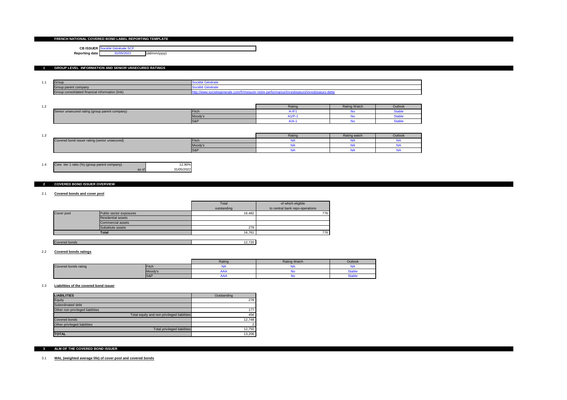### **FRENCH NATIONAL COVERED BOND LABEL REPORTING TEMPLATE**

### **CB ISSUER** Société Générale SCF **Reporting date** 31/05/2022 (dd/mm/yyyy)

### **1 GROUP LEVEL INFORMATION AND SENIOR UNSECURED RATINGS**

| .                                            | <b>IGroup</b>    | $\sim$ $\sim$ $\sim$<br>παιτ<br>$\sim$ July.                                   |
|----------------------------------------------|------------------|--------------------------------------------------------------------------------|
|                                              | p parent company | 200<br>παιτ<br>$\sim$ output                                                   |
| up consolidated financial information (link) |                  | stisseurs<br><b>CONDICTION</b><br>.∪ט<br>* ** <b>** ** **</b> * *<br>,,,,,,,,, |

| $\sim$<br>$\overline{\phantom{a}}$ |                                               |          | Rating | <b>Rating Watch</b> | Outlook       |
|------------------------------------|-----------------------------------------------|----------|--------|---------------------|---------------|
|                                    | enior unsecured rating (group parent company) | ा⊢itc∟   |        |                     | νιαι          |
|                                    |                                               | [Moody's |        |                     | -tal<br>νιαυ. |
|                                    |                                               | $ S\&F$  |        |                     | -10'<br>uau   |

| ּ״<br>. ب |                                              |                      | <b>Rating</b> | Rating watch | Outlook |
|-----------|----------------------------------------------|----------------------|---------------|--------------|---------|
|           | overed bond issuer rating (senior unsecured) | $ F$ <sub>I</sub> ch |               |              |         |
|           |                                              | ∣Moody's             |               |              |         |
|           |                                              | S8                   |               |              |         |

| 1.4 | Core tier 1 ratio (%) (group parent company) |       | 12.90%     |
|-----|----------------------------------------------|-------|------------|
|     |                                              | as of | 31/05/2022 |

### **2 COVERED BOND ISSUER OVERVIEW**

#### 2.1 **Covered bonds and cover pool**

|               |                         | Total       | of which eligible               |
|---------------|-------------------------|-------------|---------------------------------|
|               |                         | outstanding | to central bank repo-operations |
| Cover pool    | Public sector exposures | 16,482      | 776                             |
|               | Residential assets      |             |                                 |
|               | Commercial assets       |             |                                 |
|               | Substitute assets       | 279         |                                 |
|               | <b>Total</b>            | 16,761      | 776                             |
|               |                         |             |                                 |
| Covered bonds |                         | 12,720      |                                 |

#### 2.2 **Covered bonds ratings**

|                             |                | Ratino | <b>Rating Watch</b> | Outlook |
|-----------------------------|----------------|--------|---------------------|---------|
| <b>Covered bonds rating</b> | Fitch          | . .    |                     | w       |
|                             | Moody's        |        |                     | table   |
|                             | <b>S&amp;P</b> |        |                     | ∖tabl   |

#### 2.3 **Liabilities of the covered bond issuer**

| <b>LIABILITIES</b>                          | Outstanding |
|---------------------------------------------|-------------|
| Equity                                      | 278         |
| Subordinated debt                           |             |
| Other non privileged liabilities            | 177         |
| Total equity and non privileged liabilities | 456         |
| <b>Covered bonds</b>                        | 12,748      |
| Other privileged liabilities                | ົ           |
| Total privileged liabilities                | 12,750      |
| <b>TOTAL</b>                                | 13,206      |

### **3 ALM OF THE COVERED BOND ISSUER**

#### 3.1 **WAL (weighted average life) of cover pool and covered bonds**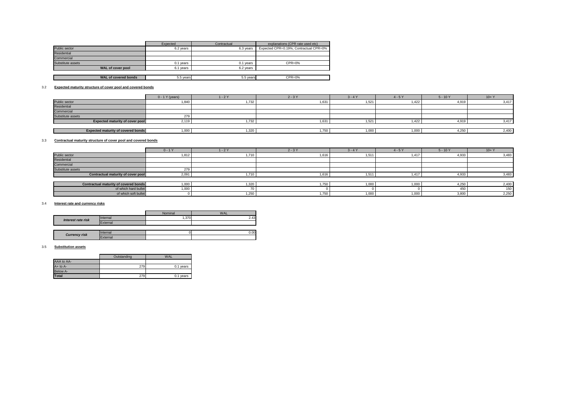|                             | Expected  | Contractual | explanations (CPR rate used etc)       |
|-----------------------------|-----------|-------------|----------------------------------------|
| Public sector               | 6.2 years | 6.3 years   | Expected CPR=0.19%; Contractual CPR=0% |
| Residential                 |           |             |                                        |
| Commercial                  |           |             |                                        |
| Substitute assets           | 0.1 years | 0.1 years   | $CPR = 0%$                             |
| <b>WAL of cover pool</b>    | 6.1 years | 6.2 years   |                                        |
|                             |           |             |                                        |
| <b>WAL of covered bonds</b> | 5.5 years | 5.5 years   | $CPR = 0%$                             |

#### 3.2 **Expected maturity structure of cover pool and covered bonds**

|                                           | $0 - 1 Y$ (years) | $1 - 2Y$ | $2 - 3Y$ | $3 - 4Y$ | $4 - 5Y$ | $5 - 10Y$ | $10+Y$ |
|-------------------------------------------|-------------------|----------|----------|----------|----------|-----------|--------|
| Public sector                             | 1,840             | 1,732    | 1,631    | 1,521    | 1,422    | 4,919     | 3,417  |
| Residential                               |                   |          |          |          |          |           |        |
| Commercial                                |                   |          |          |          |          |           |        |
| Substitute assets                         | 279               |          |          |          |          |           |        |
| <b>Expected maturity of cover pool</b>    | 2,119             | 1,732    | 1,631    | 1,521    | 1,422    | 4,919     | 3,417  |
|                                           |                   |          |          |          |          |           |        |
| <b>Expected maturity of covered bonds</b> | 1,000             | ,320     | 1,750    | 1,000    | 1,000    | 4,250     | 2,400  |

#### 3.3 **Contractual maturity structure of cover pool and covered bonds**

|                                           | $0 - 1Y$ | $1 - 2Y$ | $2 - 3Y$ | $3 - 4Y$ | $4 - 5Y$ | $5 - 10Y$ | $10+Y$ |
|-------------------------------------------|----------|----------|----------|----------|----------|-----------|--------|
| Public sector                             | 1,812    | 1,710    | 1,616    | 1,511    | 1,417    | 4,933     | 3,483  |
| Residential                               |          |          |          |          |          |           |        |
| Commercial                                |          |          |          |          |          |           |        |
| Substitute assets                         | 279      |          |          |          |          |           |        |
| <b>Contractual maturity of cover pool</b> | 2,091    | 1,710    | 1,616    | 1,511    | 1,417    | 4,933     | 3,483  |
|                                           |          |          |          |          |          |           |        |
| Contractual maturity of covered bonds     | 1,000    | 1,320    | 1,750    | 1,000    | 1,000    | 4,250     | 2,400  |
| of which hard bullet                      | 1,000    | , J      |          |          |          | 450       | 150    |
| of which soft bullet                      |          | 1,250    | 1,750    | 1,000    | 1,000    | 3,800     | 2,250  |
|                                           |          |          |          |          |          |           |        |

### 3.4 **Interest rate and currency risks**

#### 3.5 **Substitution assets**

J.

|                           |                 | Nominal             | <b>WAL</b> |
|---------------------------|-----------------|---------------------|------------|
| <b>Interest rate risk</b> | <i>Internal</i> | $,370$ <sup>1</sup> | 2.43       |
|                           | External        |                     |            |
|                           |                 |                     |            |
| <b>Currency risk</b>      | Internal        |                     | 0.00       |
|                           | External        |                     |            |

|                 | Outstanding | <b>WAL</b> |
|-----------------|-------------|------------|
| AAA to AA-      |             |            |
| $A+$ to $A-$    | 279         | 0.1 years  |
| <b>Below A-</b> |             |            |
| <b>Total</b>    | 279         | 0.1 years  |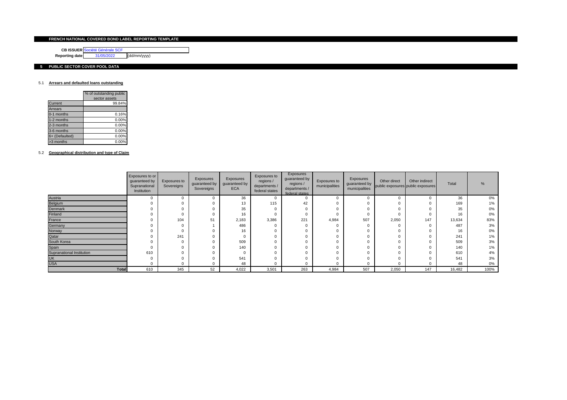### **FRENCH NATIONAL COVERED BOND LABEL REPORTING TEMPLATE**

**CB ISSUER** Société Générale SCF

**Reporting date** 31/05/2022 (dd/mm/yyyy)

### **5 PUBLIC SECTOR COVER POOL DATA**

### 5.1 **Arrears and defaulted loans outstanding**

|                | % of outstanding public<br>sector assets |
|----------------|------------------------------------------|
| <b>Current</b> | 99.84%                                   |
| <b>Arrears</b> |                                          |
| 0-1 months     | 0.16%                                    |
| 1-2 months     | 0.00%                                    |
| 2-3 months     | 0.00%                                    |
| 3-6 months     | 0.00%                                    |
| 6+ (Defaulted) | 0.00%                                    |
| >3 months      | 0.00%                                    |

5.2 **Geographical distribution and type of Claim**

|                           | Exposures to or<br>guaranteed by<br>Supranational<br>Institution | Exposures to<br>Sovereigns | Exposures<br>guaranteed by<br>Sovereigns | Exposures<br>guaranteed by<br><b>ECA</b> | Exposures to<br>regions /<br>departments /<br>federal states | Exposures<br>guaranteed by<br>regions /<br>departments /<br>federal states | Exposures to<br>municipalities | Exposures<br>guaranteed by<br>municipalities | Other direct | Other indirect<br>public exposures public exposures | Total  |       |
|---------------------------|------------------------------------------------------------------|----------------------------|------------------------------------------|------------------------------------------|--------------------------------------------------------------|----------------------------------------------------------------------------|--------------------------------|----------------------------------------------|--------------|-----------------------------------------------------|--------|-------|
| Austria                   |                                                                  |                            |                                          | 36                                       |                                                              |                                                                            |                                |                                              | $\mathbf{0}$ |                                                     | 36     | $0\%$ |
| Belgium                   |                                                                  |                            |                                          | 13                                       | 115                                                          | 42                                                                         |                                |                                              | $\mathbf{0}$ |                                                     | 169    | $1\%$ |
| Denmark                   |                                                                  |                            |                                          | 35                                       | - 0                                                          |                                                                            |                                |                                              | $\mathbf{0}$ |                                                     | 35     | $0\%$ |
| Finland                   |                                                                  |                            |                                          | 16                                       |                                                              |                                                                            |                                |                                              |              |                                                     | 16     | $0\%$ |
| France                    |                                                                  | 104                        | 51                                       | 2,183                                    | 3,386                                                        | 221                                                                        | 4,984                          | 507                                          | 2,050        | 147                                                 | 13,634 | 83%   |
| Germany                   |                                                                  |                            |                                          | 486                                      |                                                              |                                                                            |                                |                                              | $\mathbf{0}$ |                                                     | 487    | 3%    |
| Norway                    |                                                                  |                            |                                          | 16                                       |                                                              |                                                                            |                                |                                              | $\mathbf{0}$ |                                                     | 16     | $0\%$ |
| Qatar                     |                                                                  | 241                        |                                          | 0                                        |                                                              |                                                                            |                                |                                              | $\mathbf{0}$ |                                                     | 241    | 1%    |
| South Korea               | 0                                                                |                            |                                          | 509                                      | $\Omega$                                                     |                                                                            |                                |                                              | $\mathbf{0}$ |                                                     | 509    | 3%    |
| Spain                     | 0                                                                |                            |                                          | 140                                      | $\Omega$                                                     |                                                                            |                                |                                              | $\mathbf{0}$ |                                                     | 140    | $1\%$ |
| Supranational Institution | 610                                                              |                            |                                          | 0                                        |                                                              |                                                                            |                                |                                              | 0            |                                                     | 610    | 4%    |
| <b>UK</b>                 | 0                                                                |                            |                                          | 541                                      |                                                              |                                                                            |                                |                                              | 0            |                                                     | 541    | 3%    |
| <b>USA</b>                |                                                                  |                            |                                          | 48                                       |                                                              |                                                                            |                                |                                              | $\Omega$     |                                                     | 48     | 0%    |
| <b>Total</b>              | 610                                                              | 345                        | 52                                       | 4,022                                    | 3,501                                                        | 263                                                                        | 4,984                          | 507                                          | 2,050        | 147                                                 | 16,482 | 100%  |